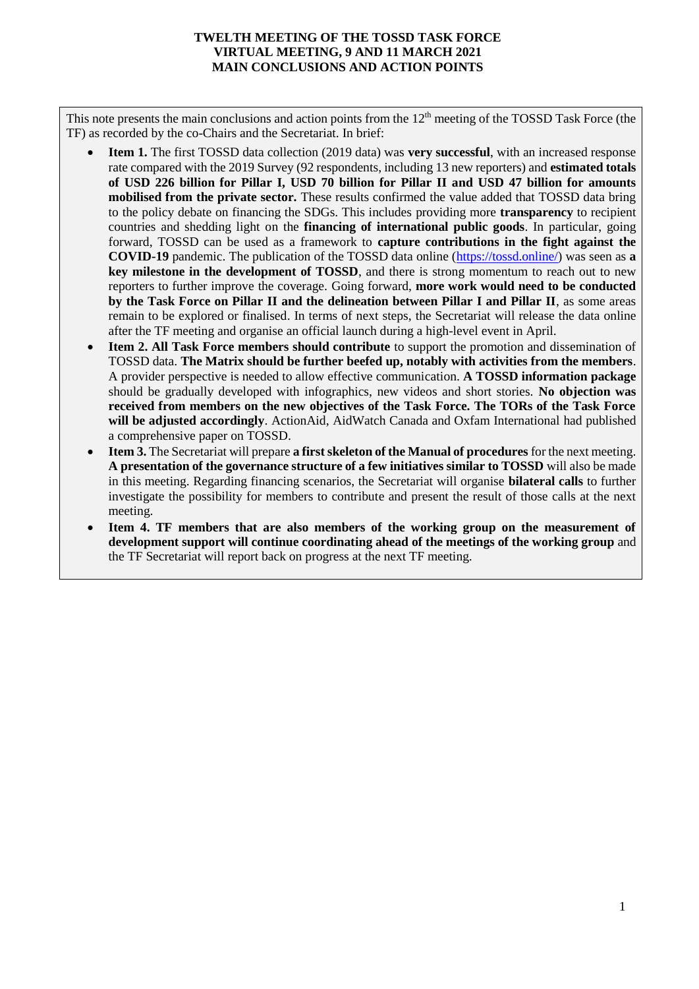## **TWELTH MEETING OF THE TOSSD TASK FORCE VIRTUAL MEETING, 9 AND 11 MARCH 2021 MAIN CONCLUSIONS AND ACTION POINTS**

This note presents the main conclusions and action points from the 12<sup>th</sup> meeting of the TOSSD Task Force (the TF) as recorded by the co-Chairs and the Secretariat. In brief:

- **Item 1.** The first TOSSD data collection (2019 data) was **very successful**, with an increased response rate compared with the 2019 Survey (92 respondents, including 13 new reporters) and **estimated totals of USD 226 billion for Pillar I, USD 70 billion for Pillar II and USD 47 billion for amounts mobilised from the private sector.** These results confirmed the value added that TOSSD data bring to the policy debate on financing the SDGs. This includes providing more **transparency** to recipient countries and shedding light on the **financing of international public goods**. In particular, going forward, TOSSD can be used as a framework to **capture contributions in the fight against the COVID-19** pandemic. The publication of the TOSSD data online [\(https://tossd.online/\)](https://tossd.online/) was seen as **a key milestone in the development of TOSSD**, and there is strong momentum to reach out to new reporters to further improve the coverage. Going forward, **more work would need to be conducted by the Task Force on Pillar II and the delineation between Pillar I and Pillar II**, as some areas remain to be explored or finalised. In terms of next steps, the Secretariat will release the data online after the TF meeting and organise an official launch during a high-level event in April.
- **Item 2. All Task Force members should contribute** to support the promotion and dissemination of TOSSD data. **The Matrix should be further beefed up, notably with activities from the members**. A provider perspective is needed to allow effective communication. **A TOSSD information package**  should be gradually developed with infographics, new videos and short stories. **No objection was received from members on the new objectives of the Task Force. The TORs of the Task Force will be adjusted accordingly**. ActionAid, AidWatch Canada and Oxfam International had published a comprehensive paper on TOSSD.
- **Item 3.** The Secretariat will prepare **a first skeleton of the Manual of procedures** for the next meeting. **A presentation of the governance structure of a few initiatives similar to TOSSD** will also be made in this meeting. Regarding financing scenarios, the Secretariat will organise **bilateral calls** to further investigate the possibility for members to contribute and present the result of those calls at the next meeting.
- **Item 4. TF members that are also members of the working group on the measurement of development support will continue coordinating ahead of the meetings of the working group** and the TF Secretariat will report back on progress at the next TF meeting.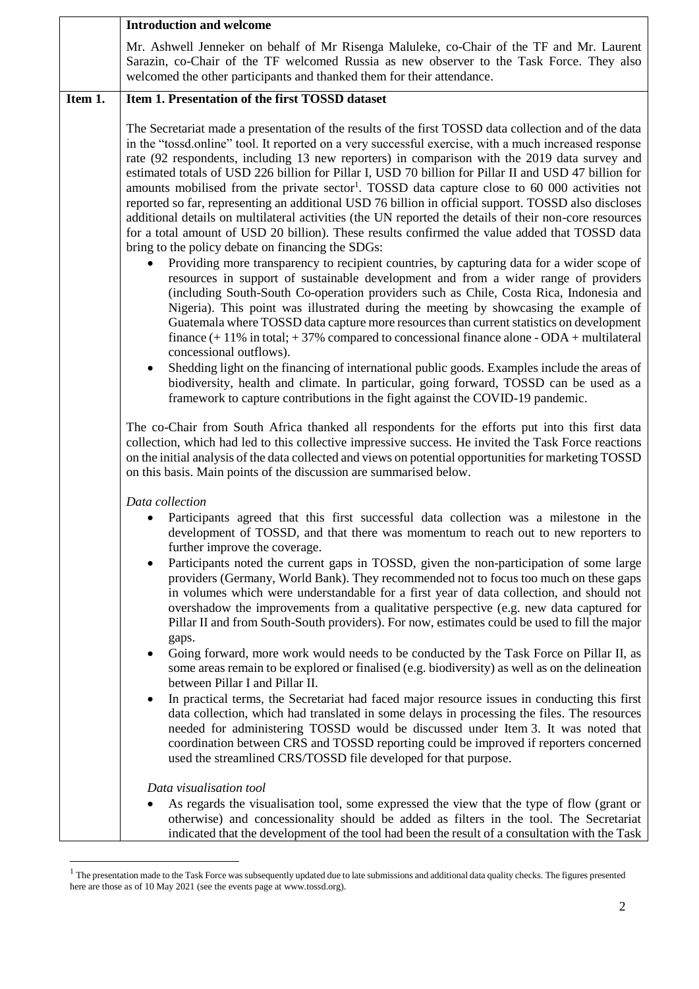|         | <b>Introduction and welcome</b>                                                                                                                                                                                                                                                                                                                                                                                                                                                                                                                                                                                                                                                                                                                                                                                                                                                                                                                                                                                                                                                                                                                                                                                                                                                                                                                                                                                                                                                                                                                                                                                                                                                                                                                                                                                                                                                                       |
|---------|-------------------------------------------------------------------------------------------------------------------------------------------------------------------------------------------------------------------------------------------------------------------------------------------------------------------------------------------------------------------------------------------------------------------------------------------------------------------------------------------------------------------------------------------------------------------------------------------------------------------------------------------------------------------------------------------------------------------------------------------------------------------------------------------------------------------------------------------------------------------------------------------------------------------------------------------------------------------------------------------------------------------------------------------------------------------------------------------------------------------------------------------------------------------------------------------------------------------------------------------------------------------------------------------------------------------------------------------------------------------------------------------------------------------------------------------------------------------------------------------------------------------------------------------------------------------------------------------------------------------------------------------------------------------------------------------------------------------------------------------------------------------------------------------------------------------------------------------------------------------------------------------------------|
|         | Mr. Ashwell Jenneker on behalf of Mr Risenga Maluleke, co-Chair of the TF and Mr. Laurent<br>Sarazin, co-Chair of the TF welcomed Russia as new observer to the Task Force. They also<br>welcomed the other participants and thanked them for their attendance.                                                                                                                                                                                                                                                                                                                                                                                                                                                                                                                                                                                                                                                                                                                                                                                                                                                                                                                                                                                                                                                                                                                                                                                                                                                                                                                                                                                                                                                                                                                                                                                                                                       |
| Item 1. | Item 1. Presentation of the first TOSSD dataset                                                                                                                                                                                                                                                                                                                                                                                                                                                                                                                                                                                                                                                                                                                                                                                                                                                                                                                                                                                                                                                                                                                                                                                                                                                                                                                                                                                                                                                                                                                                                                                                                                                                                                                                                                                                                                                       |
|         | The Secretariat made a presentation of the results of the first TOSSD data collection and of the data<br>in the "tossd.online" tool. It reported on a very successful exercise, with a much increased response<br>rate (92 respondents, including 13 new reporters) in comparison with the 2019 data survey and<br>estimated totals of USD 226 billion for Pillar I, USD 70 billion for Pillar II and USD 47 billion for<br>amounts mobilised from the private sector <sup>1</sup> . TOSSD data capture close to 60 000 activities not<br>reported so far, representing an additional USD 76 billion in official support. TOSSD also discloses<br>additional details on multilateral activities (the UN reported the details of their non-core resources<br>for a total amount of USD 20 billion). These results confirmed the value added that TOSSD data<br>bring to the policy debate on financing the SDGs:<br>Providing more transparency to recipient countries, by capturing data for a wider scope of<br>resources in support of sustainable development and from a wider range of providers<br>(including South-South Co-operation providers such as Chile, Costa Rica, Indonesia and<br>Nigeria). This point was illustrated during the meeting by showcasing the example of<br>Guatemala where TOSSD data capture more resources than current statistics on development<br>finance $(+ 11\%$ in total; $+ 37\%$ compared to concessional finance alone - ODA + multilateral<br>concessional outflows).<br>Shedding light on the financing of international public goods. Examples include the areas of<br>٠<br>biodiversity, health and climate. In particular, going forward, TOSSD can be used as a<br>framework to capture contributions in the fight against the COVID-19 pandemic.<br>The co-Chair from South Africa thanked all respondents for the efforts put into this first data |
|         | collection, which had led to this collective impressive success. He invited the Task Force reactions<br>on the initial analysis of the data collected and views on potential opportunities for marketing TOSSD<br>on this basis. Main points of the discussion are summarised below.                                                                                                                                                                                                                                                                                                                                                                                                                                                                                                                                                                                                                                                                                                                                                                                                                                                                                                                                                                                                                                                                                                                                                                                                                                                                                                                                                                                                                                                                                                                                                                                                                  |
|         | Data collection<br>Participants agreed that this first successful data collection was a milestone in the<br>development of TOSSD, and that there was momentum to reach out to new reporters to<br>further improve the coverage.<br>Participants noted the current gaps in TOSSD, given the non-participation of some large<br>٠<br>providers (Germany, World Bank). They recommended not to focus too much on these gaps<br>in volumes which were understandable for a first year of data collection, and should not<br>overshadow the improvements from a qualitative perspective (e.g. new data captured for<br>Pillar II and from South-South providers). For now, estimates could be used to fill the major<br>gaps.<br>Going forward, more work would needs to be conducted by the Task Force on Pillar II, as<br>$\bullet$<br>some areas remain to be explored or finalised (e.g. biodiversity) as well as on the delineation<br>between Pillar I and Pillar II.<br>In practical terms, the Secretariat had faced major resource issues in conducting this first<br>٠<br>data collection, which had translated in some delays in processing the files. The resources                                                                                                                                                                                                                                                                                                                                                                                                                                                                                                                                                                                                                                                                                                                            |
|         | needed for administering TOSSD would be discussed under Item 3. It was noted that<br>coordination between CRS and TOSSD reporting could be improved if reporters concerned<br>used the streamlined CRS/TOSSD file developed for that purpose.                                                                                                                                                                                                                                                                                                                                                                                                                                                                                                                                                                                                                                                                                                                                                                                                                                                                                                                                                                                                                                                                                                                                                                                                                                                                                                                                                                                                                                                                                                                                                                                                                                                         |
|         | Data visualisation tool                                                                                                                                                                                                                                                                                                                                                                                                                                                                                                                                                                                                                                                                                                                                                                                                                                                                                                                                                                                                                                                                                                                                                                                                                                                                                                                                                                                                                                                                                                                                                                                                                                                                                                                                                                                                                                                                               |
|         | As regards the visualisation tool, some expressed the view that the type of flow (grant or<br>otherwise) and concessionality should be added as filters in the tool. The Secretariat<br>indicated that the development of the tool had been the result of a consultation with the Task                                                                                                                                                                                                                                                                                                                                                                                                                                                                                                                                                                                                                                                                                                                                                                                                                                                                                                                                                                                                                                                                                                                                                                                                                                                                                                                                                                                                                                                                                                                                                                                                                |

 $<sup>1</sup>$  The presentation made to the Task Force was subsequently updated due to late submissions and additional data quality checks. The figures presented</sup> here are those as of 10 May 2021 (see the events page at www.tossd.org).

 $\overline{a}$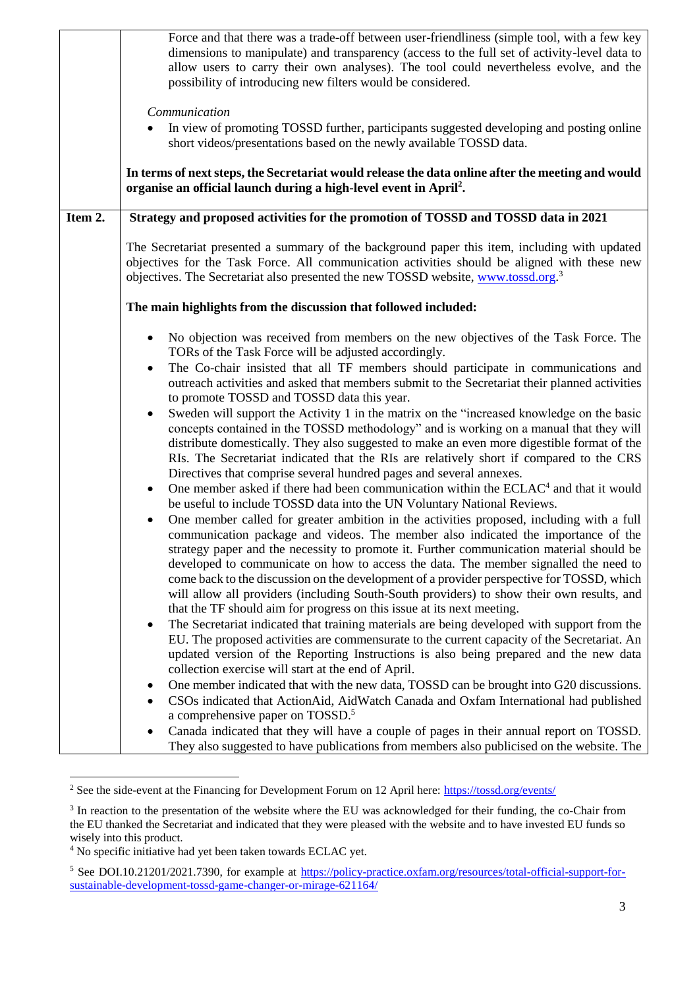|         | Force and that there was a trade-off between user-friendliness (simple tool, with a few key<br>dimensions to manipulate) and transparency (access to the full set of activity-level data to<br>allow users to carry their own analyses). The tool could nevertheless evolve, and the<br>possibility of introducing new filters would be considered.<br>Communication<br>In view of promoting TOSSD further, participants suggested developing and posting online<br>short videos/presentations based on the newly available TOSSD data.<br>In terms of next steps, the Secretariat would release the data online after the meeting and would<br>organise an official launch during a high-level event in April <sup>2</sup> .                                                                                                                                                                                                                                                                                                                                                                                                                                                                                                                                                                                                                                                                                                                                                                                                                                                                                                                                                                                                                                                                                                                                                                                                                                                                                                                                                                                                                                                                                                                                                                                                                                                                                                                                                                                                 |
|---------|-------------------------------------------------------------------------------------------------------------------------------------------------------------------------------------------------------------------------------------------------------------------------------------------------------------------------------------------------------------------------------------------------------------------------------------------------------------------------------------------------------------------------------------------------------------------------------------------------------------------------------------------------------------------------------------------------------------------------------------------------------------------------------------------------------------------------------------------------------------------------------------------------------------------------------------------------------------------------------------------------------------------------------------------------------------------------------------------------------------------------------------------------------------------------------------------------------------------------------------------------------------------------------------------------------------------------------------------------------------------------------------------------------------------------------------------------------------------------------------------------------------------------------------------------------------------------------------------------------------------------------------------------------------------------------------------------------------------------------------------------------------------------------------------------------------------------------------------------------------------------------------------------------------------------------------------------------------------------------------------------------------------------------------------------------------------------------------------------------------------------------------------------------------------------------------------------------------------------------------------------------------------------------------------------------------------------------------------------------------------------------------------------------------------------------------------------------------------------------------------------------------------------------|
| Item 2. | Strategy and proposed activities for the promotion of TOSSD and TOSSD data in 2021                                                                                                                                                                                                                                                                                                                                                                                                                                                                                                                                                                                                                                                                                                                                                                                                                                                                                                                                                                                                                                                                                                                                                                                                                                                                                                                                                                                                                                                                                                                                                                                                                                                                                                                                                                                                                                                                                                                                                                                                                                                                                                                                                                                                                                                                                                                                                                                                                                            |
|         | The Secretariat presented a summary of the background paper this item, including with updated<br>objectives for the Task Force. All communication activities should be aligned with these new<br>objectives. The Secretariat also presented the new TOSSD website, www.tossd.org. <sup>3</sup>                                                                                                                                                                                                                                                                                                                                                                                                                                                                                                                                                                                                                                                                                                                                                                                                                                                                                                                                                                                                                                                                                                                                                                                                                                                                                                                                                                                                                                                                                                                                                                                                                                                                                                                                                                                                                                                                                                                                                                                                                                                                                                                                                                                                                                |
|         | The main highlights from the discussion that followed included:                                                                                                                                                                                                                                                                                                                                                                                                                                                                                                                                                                                                                                                                                                                                                                                                                                                                                                                                                                                                                                                                                                                                                                                                                                                                                                                                                                                                                                                                                                                                                                                                                                                                                                                                                                                                                                                                                                                                                                                                                                                                                                                                                                                                                                                                                                                                                                                                                                                               |
|         | No objection was received from members on the new objectives of the Task Force. The<br>٠<br>TORs of the Task Force will be adjusted accordingly.<br>The Co-chair insisted that all TF members should participate in communications and<br>$\bullet$<br>outreach activities and asked that members submit to the Secretariat their planned activities<br>to promote TOSSD and TOSSD data this year.<br>Sweden will support the Activity 1 in the matrix on the "increased knowledge on the basic<br>$\bullet$<br>concepts contained in the TOSSD methodology" and is working on a manual that they will<br>distribute domestically. They also suggested to make an even more digestible format of the<br>RIs. The Secretariat indicated that the RIs are relatively short if compared to the CRS<br>Directives that comprise several hundred pages and several annexes.<br>One member asked if there had been communication within the ECLAC <sup>4</sup> and that it would<br>$\bullet$<br>be useful to include TOSSD data into the UN Voluntary National Reviews.<br>One member called for greater ambition in the activities proposed, including with a full<br>$\bullet$<br>communication package and videos. The member also indicated the importance of the<br>strategy paper and the necessity to promote it. Further communication material should be<br>developed to communicate on how to access the data. The member signalled the need to<br>come back to the discussion on the development of a provider perspective for TOSSD, which<br>will allow all providers (including South-South providers) to show their own results, and<br>that the TF should aim for progress on this issue at its next meeting.<br>The Secretariat indicated that training materials are being developed with support from the<br>$\bullet$<br>EU. The proposed activities are commensurate to the current capacity of the Secretariat. An<br>updated version of the Reporting Instructions is also being prepared and the new data<br>collection exercise will start at the end of April.<br>One member indicated that with the new data, TOSSD can be brought into G20 discussions.<br>٠<br>CSOs indicated that ActionAid, AidWatch Canada and Oxfam International had published<br>٠<br>a comprehensive paper on TOSSD. <sup>5</sup><br>Canada indicated that they will have a couple of pages in their annual report on TOSSD.<br>٠<br>They also suggested to have publications from members also publicised on the website. The |

<sup>&</sup>lt;sup>2</sup> See the side-event at the Financing for Development Forum on 12 April here:<https://tossd.org/events/>

<sup>&</sup>lt;sup>3</sup> In reaction to the presentation of the website where the EU was acknowledged for their funding, the co-Chair from the EU thanked the Secretariat and indicated that they were pleased with the website and to have invested EU funds so wisely into this product.

<sup>&</sup>lt;sup>4</sup> No specific initiative had yet been taken towards ECLAC yet.

<sup>&</sup>lt;sup>5</sup> See DOI.10.21201/2021.7390, for example at [https://policy-practice.oxfam.org/resources/total-official-support-for](https://policy-practice.oxfam.org/resources/total-official-support-for-sustainable-development-tossd-game-changer-or-mirage-621164/)[sustainable-development-tossd-game-changer-or-mirage-621164/](https://policy-practice.oxfam.org/resources/total-official-support-for-sustainable-development-tossd-game-changer-or-mirage-621164/)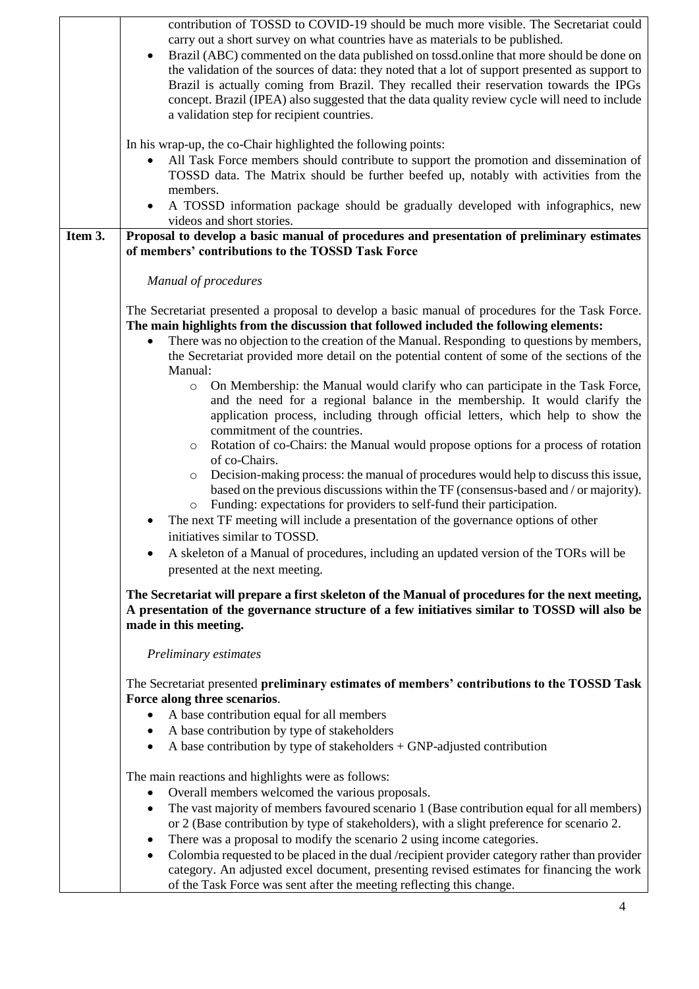|         | contribution of TOSSD to COVID-19 should be much more visible. The Secretariat could                                                                                                                  |
|---------|-------------------------------------------------------------------------------------------------------------------------------------------------------------------------------------------------------|
|         | carry out a short survey on what countries have as materials to be published.                                                                                                                         |
|         | Brazil (ABC) commented on the data published on tossd.online that more should be done on                                                                                                              |
|         | the validation of the sources of data: they noted that a lot of support presented as support to                                                                                                       |
|         | Brazil is actually coming from Brazil. They recalled their reservation towards the IPGs<br>concept. Brazil (IPEA) also suggested that the data quality review cycle will need to include              |
|         | a validation step for recipient countries.                                                                                                                                                            |
|         |                                                                                                                                                                                                       |
|         | In his wrap-up, the co-Chair highlighted the following points:                                                                                                                                        |
|         | All Task Force members should contribute to support the promotion and dissemination of<br>٠                                                                                                           |
|         | TOSSD data. The Matrix should be further beefed up, notably with activities from the                                                                                                                  |
|         | members.                                                                                                                                                                                              |
|         | A TOSSD information package should be gradually developed with infographics, new<br>$\bullet$                                                                                                         |
| Item 3. | videos and short stories.<br>Proposal to develop a basic manual of procedures and presentation of preliminary estimates                                                                               |
|         | of members' contributions to the TOSSD Task Force                                                                                                                                                     |
|         |                                                                                                                                                                                                       |
|         | Manual of procedures                                                                                                                                                                                  |
|         |                                                                                                                                                                                                       |
|         | The Secretariat presented a proposal to develop a basic manual of procedures for the Task Force.<br>The main highlights from the discussion that followed included the following elements:            |
|         | There was no objection to the creation of the Manual. Responding to questions by members,<br>$\bullet$                                                                                                |
|         | the Secretariat provided more detail on the potential content of some of the sections of the                                                                                                          |
|         | Manual:                                                                                                                                                                                               |
|         | On Membership: the Manual would clarify who can participate in the Task Force,<br>$\circ$                                                                                                             |
|         | and the need for a regional balance in the membership. It would clarify the                                                                                                                           |
|         | application process, including through official letters, which help to show the                                                                                                                       |
|         | commitment of the countries.<br>Rotation of co-Chairs: the Manual would propose options for a process of rotation                                                                                     |
|         | $\circ$<br>of co-Chairs.                                                                                                                                                                              |
|         | Decision-making process: the manual of procedures would help to discuss this issue,<br>$\circ$                                                                                                        |
|         | based on the previous discussions within the TF (consensus-based and / or majority).                                                                                                                  |
|         | Funding: expectations for providers to self-fund their participation.<br>$\circ$                                                                                                                      |
|         | The next TF meeting will include a presentation of the governance options of other                                                                                                                    |
|         | initiatives similar to TOSSD.                                                                                                                                                                         |
|         | A skeleton of a Manual of procedures, including an updated version of the TORs will be                                                                                                                |
|         | presented at the next meeting.                                                                                                                                                                        |
|         | The Secretariat will prepare a first skeleton of the Manual of procedures for the next meeting,                                                                                                       |
|         | A presentation of the governance structure of a few initiatives similar to TOSSD will also be                                                                                                         |
|         | made in this meeting.                                                                                                                                                                                 |
|         | Preliminary estimates                                                                                                                                                                                 |
|         |                                                                                                                                                                                                       |
|         | The Secretariat presented preliminary estimates of members' contributions to the TOSSD Task<br>Force along three scenarios.                                                                           |
|         | A base contribution equal for all members<br>٠                                                                                                                                                        |
|         | A base contribution by type of stakeholders<br>$\bullet$                                                                                                                                              |
|         | A base contribution by type of stakeholders + GNP-adjusted contribution<br>$\bullet$                                                                                                                  |
|         |                                                                                                                                                                                                       |
|         | The main reactions and highlights were as follows:                                                                                                                                                    |
|         | Overall members welcomed the various proposals.<br>$\bullet$                                                                                                                                          |
|         | The vast majority of members favoured scenario 1 (Base contribution equal for all members)<br>$\bullet$<br>or 2 (Base contribution by type of stakeholders), with a slight preference for scenario 2. |
|         | There was a proposal to modify the scenario 2 using income categories.<br>٠                                                                                                                           |
|         | Colombia requested to be placed in the dual /recipient provider category rather than provider                                                                                                         |
|         | category. An adjusted excel document, presenting revised estimates for financing the work                                                                                                             |
|         | of the Task Force was sent after the meeting reflecting this change.                                                                                                                                  |